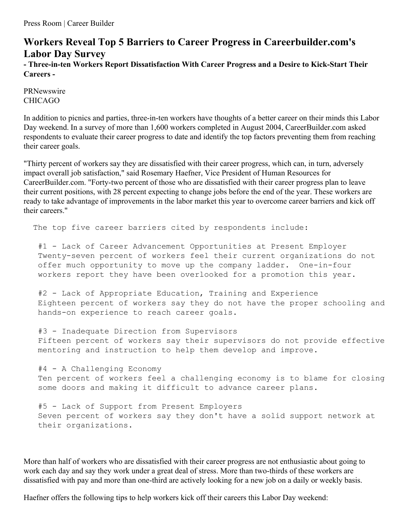## **Workers Reveal Top 5 Barriers to Career Progress in Careerbuilder.com's Labor Day Survey - Three-in-ten Workers Report Dissatisfaction With Career Progress and a Desire to Kick-Start Their Careers -**

PRNewswire CHICAGO

In addition to picnics and parties, three-in-ten workers have thoughts of a better career on their minds this Labor Day weekend. In a survey of more than 1,600 workers completed in August 2004, CareerBuilder.com asked respondents to evaluate their career progress to date and identify the top factors preventing them from reaching their career goals.

"Thirty percent of workers say they are dissatisfied with their career progress, which can, in turn, adversely impact overall job satisfaction," said Rosemary Haefner, Vice President of Human Resources for CareerBuilder.com. "Forty-two percent of those who are dissatisfied with their career progress plan to leave their current positions, with 28 percent expecting to change jobs before the end of the year. These workers are ready to take advantage of improvements in the labor market this year to overcome career barriers and kick off their careers."

The top five career barriers cited by respondents include:

#1 - Lack of Career Advancement Opportunities at Present Employer Twenty-seven percent of workers feel their current organizations do not offer much opportunity to move up the company ladder. One-in-four workers report they have been overlooked for a promotion this year.

#2 - Lack of Appropriate Education, Training and Experience Eighteen percent of workers say they do not have the proper schooling and hands-on experience to reach career goals.

#3 - Inadequate Direction from Supervisors Fifteen percent of workers say their supervisors do not provide effective mentoring and instruction to help them develop and improve.

#4 - A Challenging Economy Ten percent of workers feel a challenging economy is to blame for closing some doors and making it difficult to advance career plans.

#5 - Lack of Support from Present Employers Seven percent of workers say they don't have a solid support network at their organizations.

More than half of workers who are dissatisfied with their career progress are not enthusiastic about going to work each day and say they work under a great deal of stress. More than two-thirds of these workers are dissatisfied with pay and more than one-third are actively looking for a new job on a daily or weekly basis.

Haefner offers the following tips to help workers kick off their careers this Labor Day weekend: